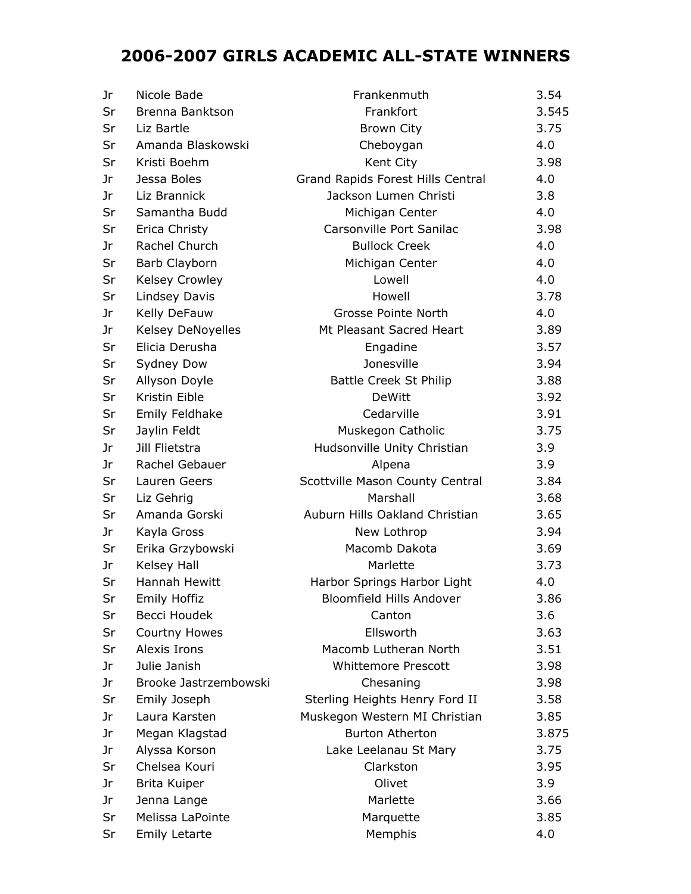## **2006-2007 GIRLS ACADEMIC ALL-STATE WINNERS**

| Jr | Nicole Bade           | Frankenmuth                       | 3.54  |
|----|-----------------------|-----------------------------------|-------|
| Sr | Brenna Banktson       | Frankfort                         | 3.545 |
| Sr | Liz Bartle            | <b>Brown City</b>                 | 3.75  |
| Sr | Amanda Blaskowski     | Cheboygan                         | 4.0   |
| Sr | Kristi Boehm          | Kent City                         | 3.98  |
| Jr | Jessa Boles           | Grand Rapids Forest Hills Central | 4.0   |
| Jr | Liz Brannick          | Jackson Lumen Christi             | 3.8   |
| Sr | Samantha Budd         | Michigan Center                   | 4.0   |
| Sr | Erica Christy         | Carsonville Port Sanilac          | 3.98  |
| Jr | Rachel Church         | <b>Bullock Creek</b>              | 4.0   |
| Sr | Barb Clayborn         | Michigan Center                   | 4.0   |
| Sr | <b>Kelsey Crowley</b> | Lowell                            | 4.0   |
| Sr | Lindsey Davis         | Howell                            | 3.78  |
| Jr | Kelly DeFauw          | Grosse Pointe North               | 4.0   |
| Jr | Kelsey DeNoyelles     | Mt Pleasant Sacred Heart          | 3.89  |
| Sr | Elicia Derusha        | Engadine                          | 3.57  |
| Sr | Sydney Dow            | Jonesville                        | 3.94  |
| Sr | Allyson Doyle         | <b>Battle Creek St Philip</b>     | 3.88  |
| Sr | Kristin Eible         | DeWitt                            | 3.92  |
| Sr | Emily Feldhake        | Cedarville                        | 3.91  |
| Sr | Jaylin Feldt          | Muskegon Catholic                 | 3.75  |
| Jr | Jill Flietstra        | Hudsonville Unity Christian       | 3.9   |
| Jr | Rachel Gebauer        | Alpena                            | 3.9   |
| Sr | Lauren Geers          | Scottville Mason County Central   | 3.84  |
| Sr | Liz Gehrig            | Marshall                          | 3.68  |
| Sr | Amanda Gorski         | Auburn Hills Oakland Christian    | 3.65  |
| Jr | Kayla Gross           | New Lothrop                       | 3.94  |
| Sr | Erika Grzybowski      | Macomb Dakota                     | 3.69  |
| Jr | <b>Kelsey Hall</b>    | Marlette                          | 3.73  |
| Sr | Hannah Hewitt         | Harbor Springs Harbor Light       | 4.0   |
| Sr | Emily Hoffiz          | <b>Bloomfield Hills Andover</b>   | 3.86  |
| Sr | Becci Houdek          | Canton                            | 3.6   |
| Sr | Courtny Howes         | Ellsworth                         | 3.63  |
| Sr | Alexis Irons          | Macomb Lutheran North             | 3.51  |
| Jr | Julie Janish          | <b>Whittemore Prescott</b>        | 3.98  |
| Jr | Brooke Jastrzembowski | Chesaning                         | 3.98  |
| Sr | Emily Joseph          | Sterling Heights Henry Ford II    | 3.58  |
| Jr | Laura Karsten         | Muskegon Western MI Christian     | 3.85  |
| Jr | Megan Klagstad        | <b>Burton Atherton</b>            | 3.875 |
| Jr | Alyssa Korson         | Lake Leelanau St Mary             | 3.75  |
| Sr | Chelsea Kouri         | Clarkston                         | 3.95  |
| Jr | Brita Kuiper          | Olivet                            | 3.9   |
| Jr | Jenna Lange           | Marlette                          | 3.66  |
| Sr | Melissa LaPointe      | Marquette                         | 3.85  |
| Sr | <b>Emily Letarte</b>  | Memphis                           | 4.0   |